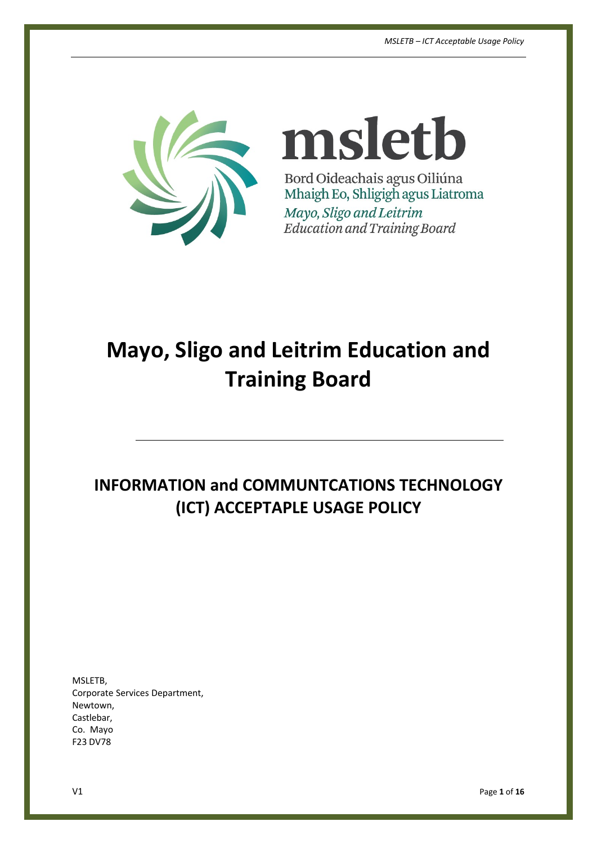

msletb Bord Oideachais agus Oiliúna Mhaigh Eo, Shligigh agus Liatroma Mayo, Sligo and Leitrim **Education and Training Board** 

# **Mayo, Sligo and Leitrim Education and Training Board**

## **INFORMATION and COMMUNTCATIONS TECHNOLOGY (ICT) ACCEPTAPLE USAGE POLICY**

MSLETB, Corporate Services Department, Newtown, Castlebar, Co. Mayo F23 DV78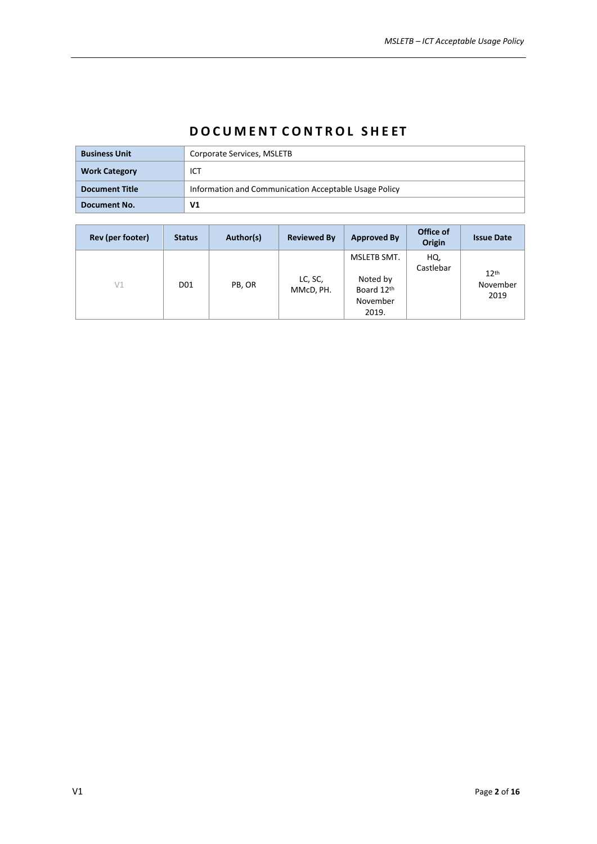## **D O C U M E N T C O N T R O L S H E ET**

| <b>Business Unit</b>  | Corporate Services, MSLETB                            |
|-----------------------|-------------------------------------------------------|
| <b>Work Category</b>  | <b>ICT</b>                                            |
| <b>Document Title</b> | Information and Communication Acceptable Usage Policy |
| Document No.          | V1                                                    |

| Rev (per footer) | <b>Status</b>   | Author(s) | <b>Reviewed By</b>   | <b>Approved By</b>                                         | Office of<br>Origin | <b>Issue Date</b>                    |
|------------------|-----------------|-----------|----------------------|------------------------------------------------------------|---------------------|--------------------------------------|
| V1               | D <sub>01</sub> | PB, OR    | LC, SC,<br>MMcD, PH. | MSLETB SMT.<br>Noted by<br>Board 12th<br>November<br>2019. | HQ,<br>Castlebar    | 12 <sup>th</sup><br>November<br>2019 |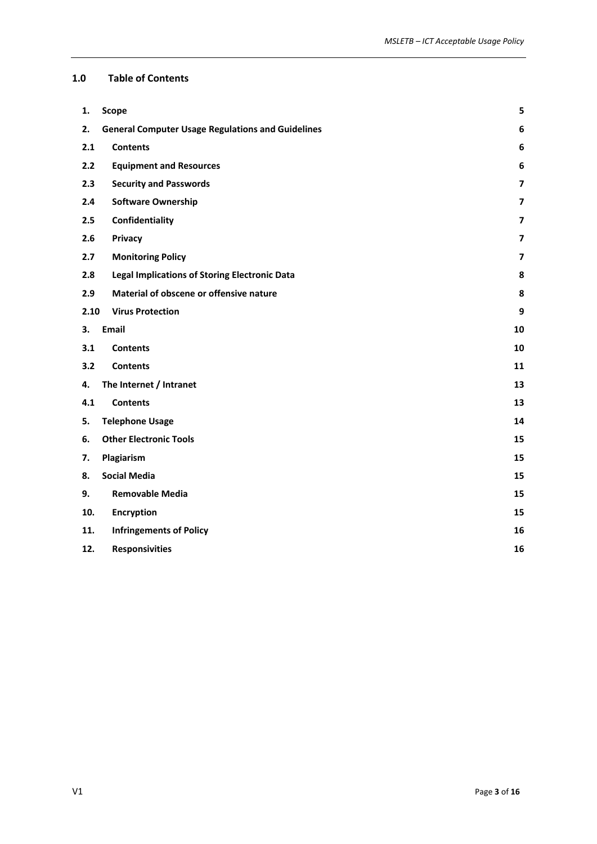#### **1.0 Table of Contents**

| 1.   | <b>Scope</b>                                             | 5                       |
|------|----------------------------------------------------------|-------------------------|
| 2.   | <b>General Computer Usage Regulations and Guidelines</b> | 6                       |
| 2.1  | <b>Contents</b>                                          | 6                       |
| 2.2  | <b>Equipment and Resources</b>                           | 6                       |
| 2.3  | <b>Security and Passwords</b>                            | $\overline{\mathbf{z}}$ |
| 2.4  | <b>Software Ownership</b>                                | $\overline{\mathbf{z}}$ |
| 2.5  | Confidentiality                                          | $\overline{7}$          |
| 2.6  | <b>Privacy</b>                                           | $\overline{\mathbf{z}}$ |
| 2.7  | <b>Monitoring Policy</b>                                 | $\overline{7}$          |
| 2.8  | <b>Legal Implications of Storing Electronic Data</b>     | 8                       |
| 2.9  | Material of obscene or offensive nature                  | 8                       |
| 2.10 | <b>Virus Protection</b>                                  | 9                       |
| 3.   | Email                                                    | 10                      |
| 3.1  | <b>Contents</b>                                          | 10                      |
| 3.2  | <b>Contents</b>                                          | 11                      |
| 4.   | The Internet / Intranet                                  | 13                      |
| 4.1  | <b>Contents</b>                                          | 13                      |
| 5.   | <b>Telephone Usage</b>                                   | 14                      |
| 6.   | <b>Other Electronic Tools</b>                            | 15                      |
| 7.   | Plagiarism                                               | 15                      |
| 8.   | <b>Social Media</b>                                      | 15                      |
| 9.   | <b>Removable Media</b>                                   | 15                      |
| 10.  | Encryption                                               | 15                      |
| 11.  | <b>Infringements of Policy</b>                           | 16                      |
| 12.  | <b>Responsivities</b>                                    | 16                      |
|      |                                                          |                         |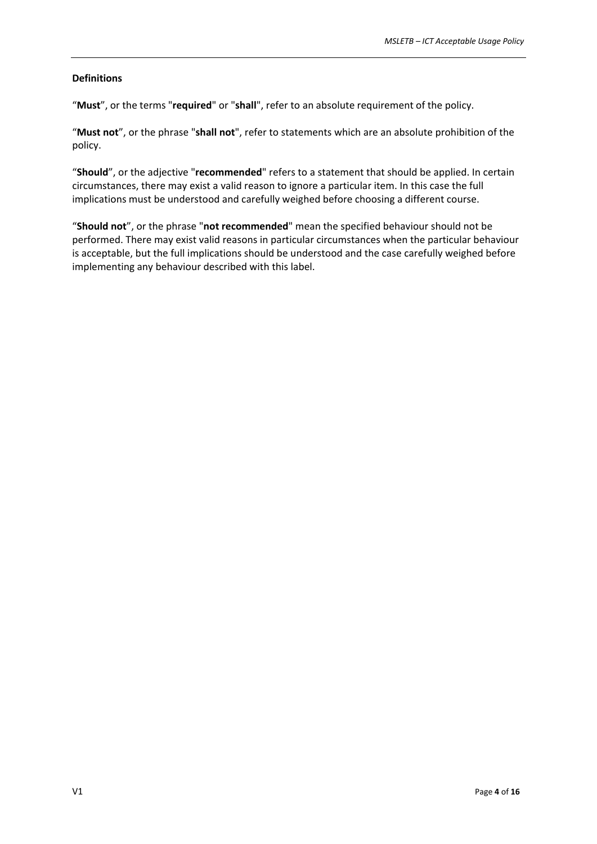#### **Definitions**

"**Must**", or the terms "**required**" or "**shall**", refer to an absolute requirement of the policy.

"**Must not**", or the phrase "**shall not**", refer to statements which are an absolute prohibition of the policy.

"**Should**", or the adjective "**recommended**" refers to a statement that should be applied. In certain circumstances, there may exist a valid reason to ignore a particular item. In this case the full implications must be understood and carefully weighed before choosing a different course.

"**Should not**", or the phrase "**not recommended**" mean the specified behaviour should not be performed. There may exist valid reasons in particular circumstances when the particular behaviour is acceptable, but the full implications should be understood and the case carefully weighed before implementing any behaviour described with this label.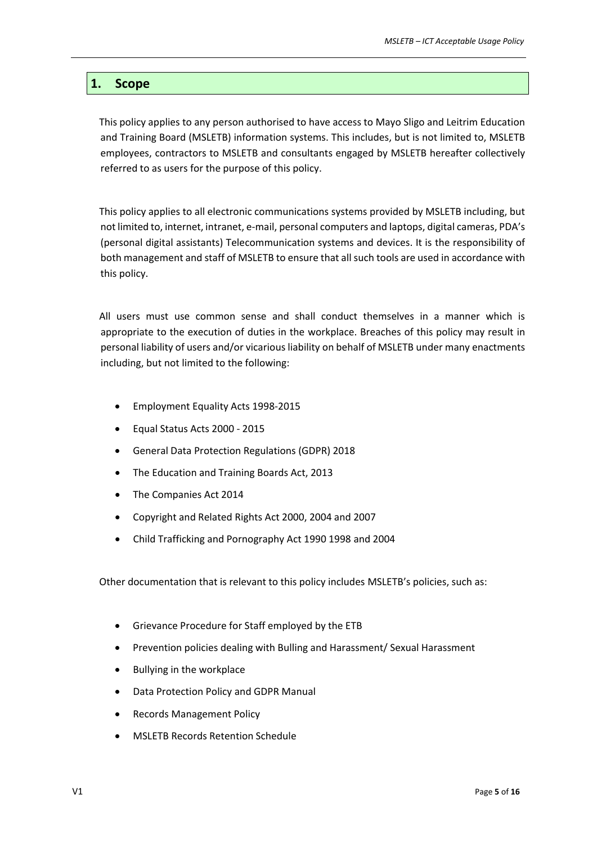## <span id="page-4-0"></span>**1. Scope**

This policy applies to any person authorised to have access to Mayo Sligo and Leitrim Education and Training Board (MSLETB) information systems. This includes, but is not limited to, MSLETB employees, contractors to MSLETB and consultants engaged by MSLETB hereafter collectively referred to as users for the purpose of this policy.

This policy applies to all electronic communications systems provided by MSLETB including, but not limited to, internet, intranet, e-mail, personal computers and laptops, digital cameras, PDA's (personal digital assistants) Telecommunication systems and devices. It is the responsibility of both management and staff of MSLETB to ensure that all such tools are used in accordance with this policy.

All users must use common sense and shall conduct themselves in a manner which is appropriate to the execution of duties in the workplace. Breaches of this policy may result in personal liability of users and/or vicariousliability on behalf of MSLETB under many enactments including, but not limited to the following:

- Employment Equality Acts 1998-2015
- Equal Status Acts 2000 2015
- General Data Protection Regulations (GDPR) 2018
- The Education and Training Boards Act, 2013
- The Companies Act 2014
- Copyright and Related Rights Act 200[0,](http://www.irishstatutebook.ie/2000/en/act/pub/0028/index.html) 2004 and 2007
- Child Trafficking and Pornography Act 1990 1998 and 2004

Other documentation that is relevant to this policy includes MSLETB's policies, such as:

- Grievance Procedure for Staff employed by the ETB
- Prevention policies dealing with Bulling and Harassment/ Sexual Harassment
- Bullying in the workplace
- Data Protection Policy and GDPR Manual
- Records Management Policy
- MSLETB Records Retention Schedule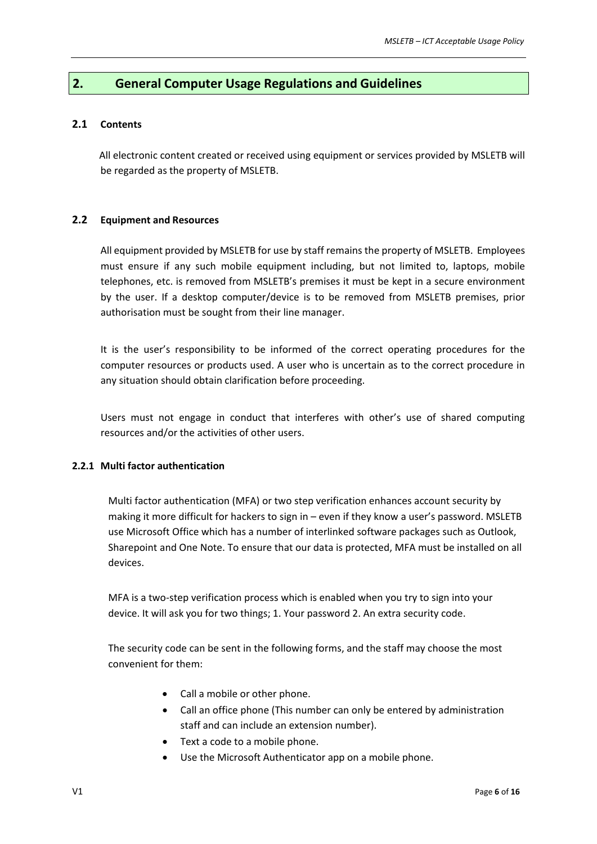## <span id="page-5-0"></span>**2. General Computer Usage Regulations and Guidelines**

#### <span id="page-5-1"></span>**2.1 Contents**

All electronic content created or received using equipment or services provided by MSLETB will be regarded as the property of MSLETB.

#### <span id="page-5-2"></span>**2.2 Equipment and Resources**

All equipment provided by MSLETB for use by staff remains the property of MSLETB. Employees must ensure if any such mobile equipment including, but not limited to, laptops, mobile telephones, etc. is removed from MSLETB's premises it must be kept in a secure environment by the user. If a desktop computer/device is to be removed from MSLETB premises, prior authorisation must be sought from their line manager.

It is the user's responsibility to be informed of the correct operating procedures for the computer resources or products used. A user who is uncertain as to the correct procedure in any situation should obtain clarification before proceeding.

Users must not engage in conduct that interferes with other's use of shared computing resources and/or the activities of other users.

#### **2.2.1 Multi factor authentication**

Multi factor authentication (MFA) or two step verification enhances account security by making it more difficult for hackers to sign in – even if they know a user's password. MSLETB use Microsoft Office which has a number of interlinked software packages such as Outlook, Sharepoint and One Note. To ensure that our data is protected, MFA must be installed on all devices.

MFA is a two-step verification process which is enabled when you try to sign into your device. It will ask you for two things; 1. Your password 2. An extra security code.

The security code can be sent in the following forms, and the staff may choose the most convenient for them:

- Call a mobile or other phone.
- Call an office phone (This number can only be entered by administration staff and can include an extension number).
- Text a code to a mobile phone.
- Use the Microsoft Authenticator app on a mobile phone.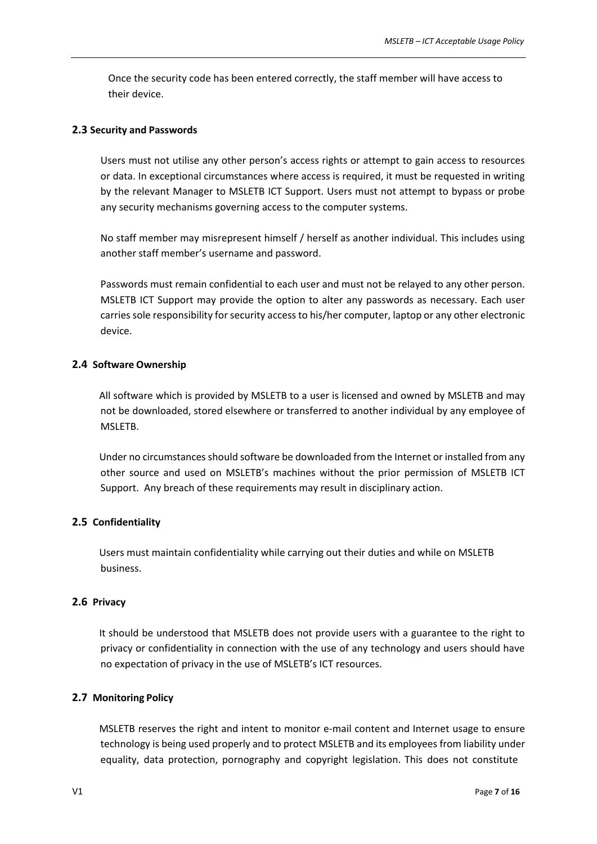Once the security code has been entered correctly, the staff member will have access to their device.

#### <span id="page-6-0"></span>**2.3 Security and Passwords**

Users must not utilise any other person's access rights or attempt to gain access to resources or data. In exceptional circumstances where access is required, it must be requested in writing by the relevant Manager to MSLETB ICT Support. Users must not attempt to bypass or probe any security mechanisms governing access to the computer systems.

No staff member may misrepresent himself / herself as another individual. This includes using another staff member's username and password.

Passwords must remain confidential to each user and must not be relayed to any other person. MSLETB ICT Support may provide the option to alter any passwords as necessary. Each user carries sole responsibility for security access to his/her computer, laptop or any other electronic device.

#### <span id="page-6-1"></span>**2.4 Software Ownership**

All software which is provided by MSLETB to a user is licensed and owned by MSLETB and may not be downloaded, stored elsewhere or transferred to another individual by any employee of MSLETB.

Under no circumstances should software be downloaded from the Internet or installed from any other source and used on MSLETB's machines without the prior permission of MSLETB ICT Support. Any breach of these requirements may result in disciplinary action.

#### <span id="page-6-2"></span>**2.5 Confidentiality**

Users must maintain confidentiality while carrying out their duties and while on MSLETB business.

#### <span id="page-6-3"></span>**2.6 Privacy**

It should be understood that MSLETB does not provide users with a guarantee to the right to privacy or confidentiality in connection with the use of any technology and users should have no expectation of privacy in the use of MSLETB's ICT resources.

#### <span id="page-6-4"></span>**2.7 Monitoring Policy**

MSLETB reserves the right and intent to monitor e-mail content and Internet usage to ensure technology is being used properly and to protect MSLETB and its employees from liability under equality, data protection, pornography and copyright legislation. This does not constitute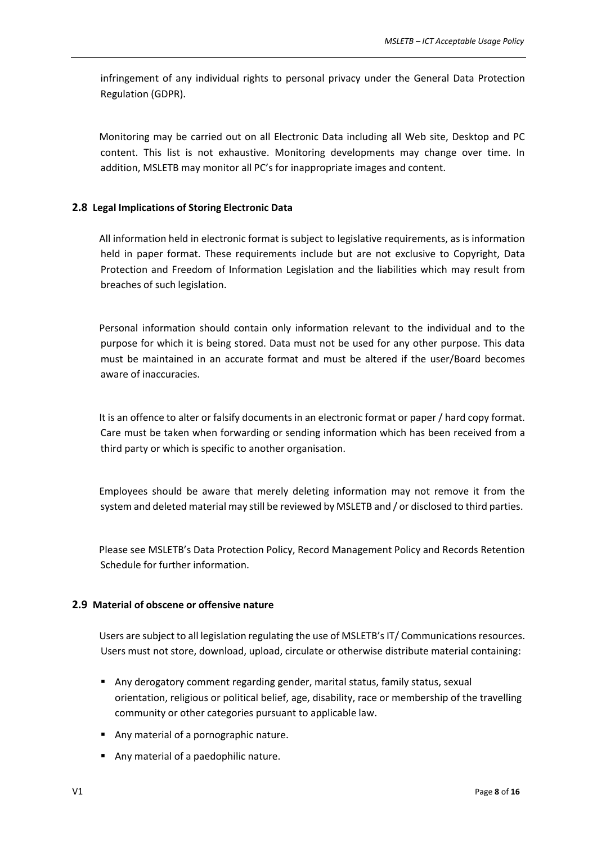infringement of any individual rights to personal privacy under the General Data Protection Regulation (GDPR).

Monitoring may be carried out on all Electronic Data including all Web site, Desktop and PC content. This list is not exhaustive. Monitoring developments may change over time. In addition, MSLETB may monitor all PC's for inappropriate images and content.

#### <span id="page-7-0"></span>**2.8 Legal Implications of Storing Electronic Data**

All information held in electronic format is subject to legislative requirements, as is information held in paper format. These requirements include but are not exclusive to Copyright, Data Protection and Freedom of Information Legislation and the liabilities which may result from breaches of such legislation.

Personal information should contain only information relevant to the individual and to the purpose for which it is being stored. Data must not be used for any other purpose. This data must be maintained in an accurate format and must be altered if the user/Board becomes aware of inaccuracies.

It is an offence to alter or falsify documents in an electronic format or paper / hard copy format. Care must be taken when forwarding or sending information which has been received from a third party or which is specific to another organisation.

Employees should be aware that merely deleting information may not remove it from the system and deleted material may still be reviewed by MSLETB and / or disclosed to third parties.

Please see MSLETB's Data Protection Policy, Record Management Policy and Records Retention Schedule for further information.

#### <span id="page-7-1"></span>**2.9 Material of obscene or offensive nature**

Users are subject to all legislation regulating the use of MSLETB's IT/ Communications resources. Users must not store, download, upload, circulate or otherwise distribute material containing:

- Any derogatory comment regarding gender, marital status, family status, sexual orientation, religious or political belief, age, disability, race or membership of the travelling community or other categories pursuant to applicable law.
- Any material of a pornographic nature.
- Any material of a paedophilic nature.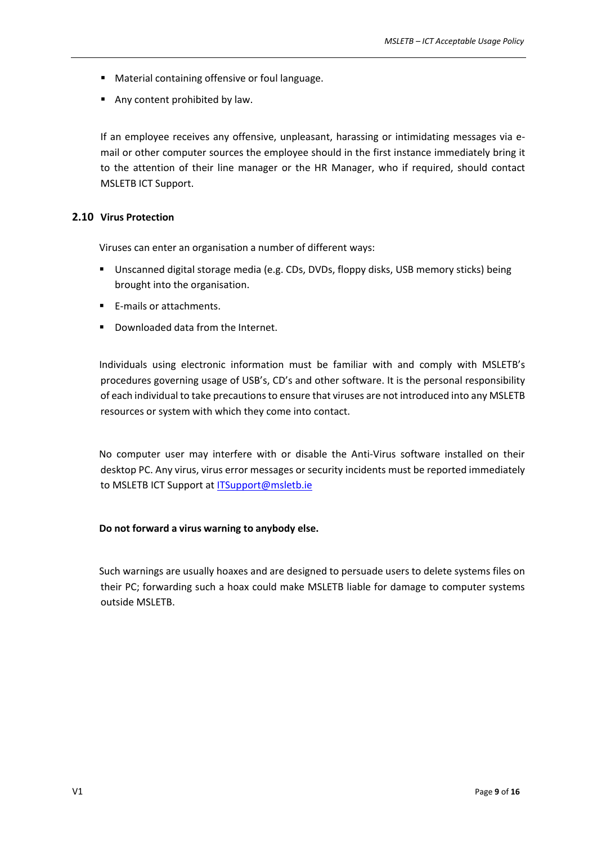- Material containing offensive or foul language.
- Any content prohibited by law.

If an employee receives any offensive, unpleasant, harassing or intimidating messages via email or other computer sources the employee should in the first instance immediately bring it to the attention of their line manager or the HR Manager, who if required, should contact MSLETB ICT Support.

#### <span id="page-8-0"></span>**2.10 Virus Protection**

Viruses can enter an organisation a number of different ways:

- Unscanned digital storage media (e.g. CDs, DVDs, floppy disks, USB memory sticks) being brought into the organisation.
- E-mails or attachments.
- Downloaded data from the Internet.

Individuals using electronic information must be familiar with and comply with MSLETB's procedures governing usage of USB's, CD's and other software. It is the personal responsibility of each individual to take precautionsto ensure that viruses are not introduced into any MSLETB resources or system with which they come into contact.

No computer user may interfere with or disable the Anti-Virus software installed on their desktop PC. Any virus, virus error messages or security incidents must be reported immediately to MSLETB ICT Support at [ITSupport@msletb.ie](mailto:ITSupport@msletb.ie)

#### **Do not forward a virus warning to anybody else.**

Such warnings are usually hoaxes and are designed to persuade users to delete systems files on their PC; forwarding such a hoax could make MSLETB liable for damage to computer systems outside MSLETB.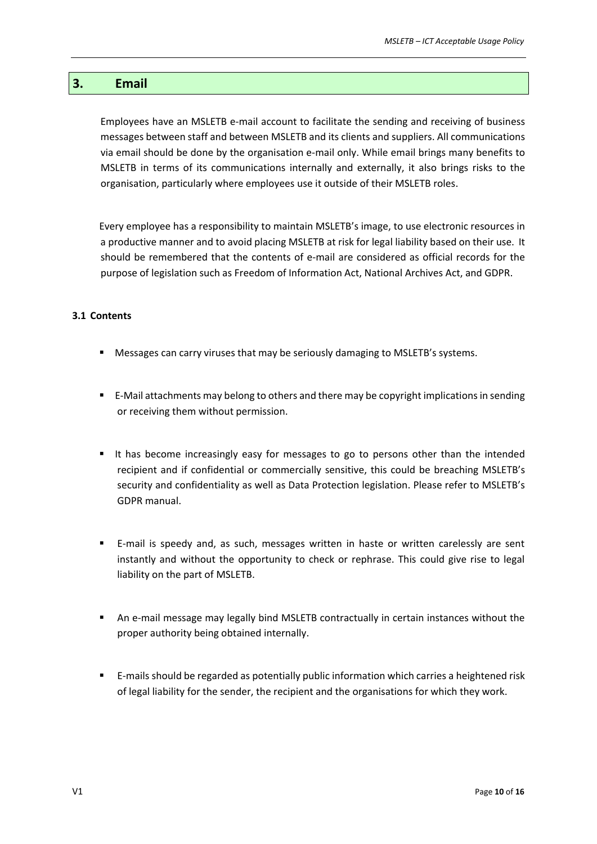## <span id="page-9-0"></span>**3. Email**

Employees have an MSLETB e-mail account to facilitate the sending and receiving of business messages between staff and between MSLETB and its clients and suppliers. All communications via email should be done by the organisation e-mail only. While email brings many benefits to MSLETB in terms of its communications internally and externally, it also brings risks to the organisation, particularly where employees use it outside of their MSLETB roles.

Every employee has a responsibility to maintain MSLETB's image, to use electronic resources in a productive manner and to avoid placing MSLETB at risk for legal liability based on their use. It should be remembered that the contents of e-mail are considered as official records for the purpose of legislation such as Freedom of Information Act, National Archives Act, and GDPR.

#### <span id="page-9-1"></span>**3.1 Contents**

- **Messages can carry viruses that may be seriously damaging to MSLETB's systems.**
- E-Mail attachments may belong to others and there may be copyright implicationsin sending or receiving them without permission.
- It has become increasingly easy for messages to go to persons other than the intended recipient and if confidential or commercially sensitive, this could be breaching MSLETB's security and confidentiality as well as Data Protection legislation. Please refer to MSLETB's GDPR manual.
- E-mail is speedy and, as such, messages written in haste or written carelessly are sent instantly and without the opportunity to check or rephrase. This could give rise to legal liability on the part of MSLETB.
- An e-mail message may legally bind MSLETB contractually in certain instances without the proper authority being obtained internally.
- E-mails should be regarded as potentially public information which carries a heightened risk of legal liability for the sender, the recipient and the organisations for which they work.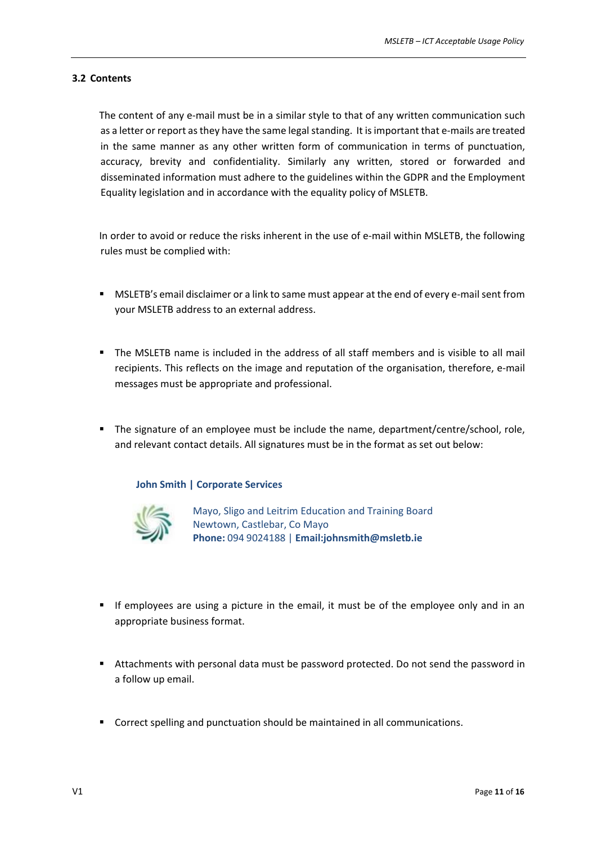#### <span id="page-10-0"></span>**3.2 Contents**

The content of any e-mail must be in a similar style to that of any written communication such as a letter or report as they have the same legal standing. It is important that e-mails are treated in the same manner as any other written form of communication in terms of punctuation, accuracy, brevity and confidentiality. Similarly any written, stored or forwarded and disseminated information must adhere to the guidelines within the GDPR and the Employment Equality legislation and in accordance with the equality policy of MSLETB.

In order to avoid or reduce the risks inherent in the use of e-mail within MSLETB, the following rules must be complied with:

- **MSLETB's email disclaimer or a link to same must appear at the end of every e-mail sent from** your MSLETB address to an external address.
- The MSLETB name is included in the address of all staff members and is visible to all mail recipients. This reflects on the image and reputation of the organisation, therefore, e-mail messages must be appropriate and professional.
- The signature of an employee must be include the name, department/centre/school, role, and relevant contact details. All signatures must be in the format as set out below:

#### **John Smith | Corporate Services**



Mayo, Sligo and Leitrim Education and Training Board Newtown, Castlebar, Co Mayo **Phone:** 094 9024188 | **[Email:johnsmith@msletb.ie](mailto:johnsmith@msletb.ie)**

- If employees are using a picture in the email, it must be of the employee only and in an appropriate business format.
- Attachments with personal data must be password protected. Do not send the password in a follow up email.
- Correct spelling and punctuation should be maintained in all communications.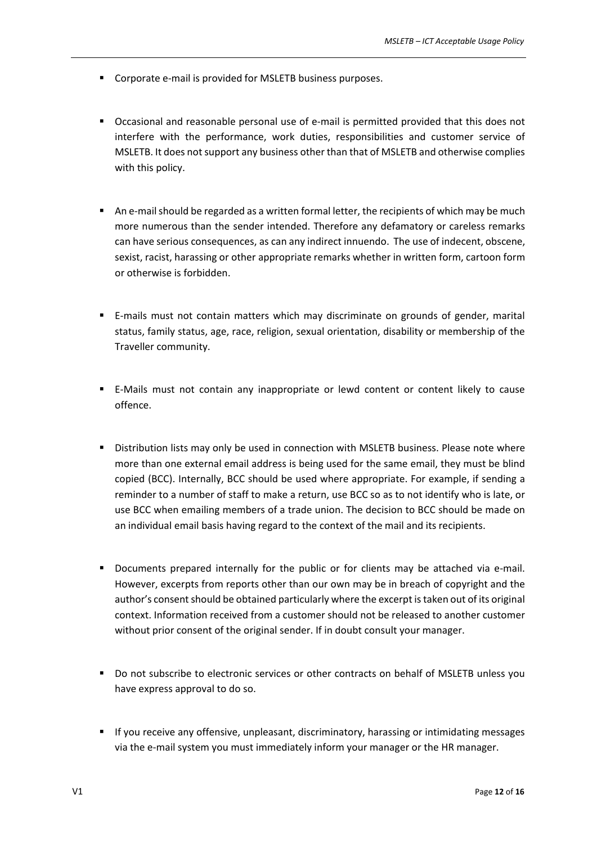- Corporate e-mail is provided for MSLETB business purposes.
- Occasional and reasonable personal use of e-mail is permitted provided that this does not interfere with the performance, work duties, responsibilities and customer service of MSLETB. It does notsupport any business other than that of MSLETB and otherwise complies with this policy.
- **An e-mail should be regarded as a written formal letter, the recipients of which may be much** more numerous than the sender intended. Therefore any defamatory or careless remarks can have serious consequences, as can any indirect innuendo. The use of indecent, obscene, sexist, racist, harassing or other appropriate remarks whether in written form, cartoon form or otherwise is forbidden.
- E-mails must not contain matters which may discriminate on grounds of gender, marital status, family status, age, race, religion, sexual orientation, disability or membership of the Traveller community.
- E-Mails must not contain any inappropriate or lewd content or content likely to cause offence.
- Distribution lists may only be used in connection with MSLETB business. Please note where more than one external email address is being used for the same email, they must be blind copied (BCC). Internally, BCC should be used where appropriate. For example, if sending a reminder to a number of staff to make a return, use BCC so as to not identify who is late, or use BCC when emailing members of a trade union. The decision to BCC should be made on an individual email basis having regard to the context of the mail and its recipients.
- **•** Documents prepared internally for the public or for clients may be attached via e-mail. However, excerpts from reports other than our own may be in breach of copyright and the author's consent should be obtained particularly where the excerpt is taken out of its original context. Information received from a customer should not be released to another customer without prior consent of the original sender. If in doubt consult your manager.
- Do not subscribe to electronic services or other contracts on behalf of MSLETB unless you have express approval to do so.
- **If you receive any offensive, unpleasant, discriminatory, harassing or intimidating messages** via the e-mail system you must immediately inform your manager or the HR manager.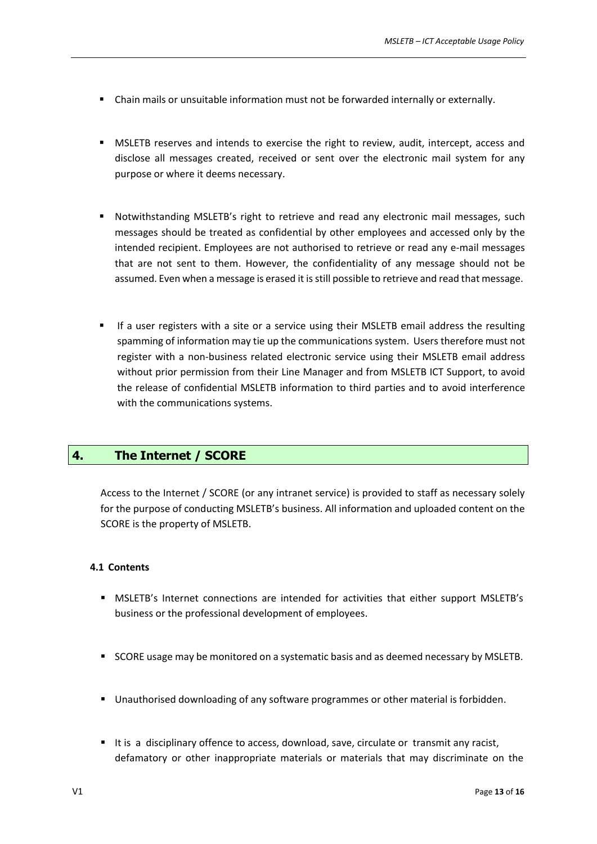- Chain mails or unsuitable information must not be forwarded internally or externally.
- MSLETB reserves and intends to exercise the right to review, audit, intercept, access and disclose all messages created, received or sent over the electronic mail system for any purpose or where it deems necessary.
- **•** Notwithstanding MSLETB's right to retrieve and read any electronic mail messages, such messages should be treated as confidential by other employees and accessed only by the intended recipient. Employees are not authorised to retrieve or read any e-mail messages that are not sent to them. However, the confidentiality of any message should not be assumed. Even when a message is erased it isstill possible to retrieve and read that message.
- If a user registers with a site or a service using their MSLETB email address the resulting spamming of information may tie up the communications system. Users therefore must not register with a non-business related electronic service using their MSLETB email address without prior permission from their Line Manager and from MSLETB ICT Support, to avoid the release of confidential MSLETB information to third parties and to avoid interference with the communications systems.

## <span id="page-12-0"></span>**4. The Internet / SCORE**

Access to the Internet / SCORE (or any intranet service) is provided to staff as necessary solely for the purpose of conducting MSLETB's business. All information and uploaded content on the SCORE is the property of MSLETB.

#### <span id="page-12-1"></span>**4.1 Contents**

- MSLETB's Internet connections are intended for activities that either support MSLETB's business or the professional development of employees.
- **SCORE** usage may be monitored on a systematic basis and as deemed necessary by MSLETB.
- Unauthorised downloading of any software programmes or other material is forbidden.
- It is a disciplinary offence to access, download, save, circulate or transmit any racist, defamatory or other inappropriate materials or materials that may discriminate on the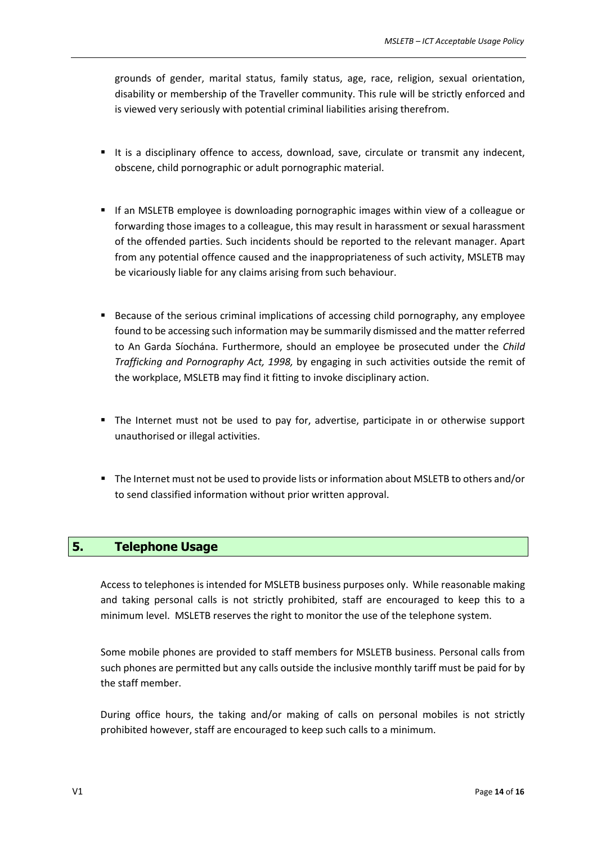grounds of gender, marital status, family status, age, race, religion, sexual orientation, disability or membership of the Traveller community. This rule will be strictly enforced and is viewed very seriously with potential criminal liabilities arising therefrom.

- It is a disciplinary offence to access, download, save, circulate or transmit any indecent, obscene, child pornographic or adult pornographic material.
- If an MSLETB employee is downloading pornographic images within view of a colleague or forwarding those images to a colleague, this may result in harassment or sexual harassment of the offended parties. Such incidents should be reported to the relevant manager. Apart from any potential offence caused and the inappropriateness of such activity, MSLETB may be vicariously liable for any claims arising from such behaviour.
- Because of the serious criminal implications of accessing child pornography, any employee found to be accessing such information may be summarily dismissed and the matter referred to An Garda Síochána. Furthermore, should an employee be prosecuted under the *Child Trafficking and Pornography Act, 1998,* by engaging in such activities outside the remit of the workplace, MSLETB may find it fitting to invoke disciplinary action.
- The Internet must not be used to pay for, advertise, participate in or otherwise support unauthorised or illegal activities.
- The Internet must not be used to provide lists or information about MSLETB to others and/or to send classified information without prior written approval.

## <span id="page-13-0"></span>**5. Telephone Usage**

Access to telephones is intended for MSLETB business purposes only. While reasonable making and taking personal calls is not strictly prohibited, staff are encouraged to keep this to a minimum level. MSLETB reserves the right to monitor the use of the telephone system.

Some mobile phones are provided to staff members for MSLETB business. Personal calls from such phones are permitted but any calls outside the inclusive monthly tariff must be paid for by the staff member.

During office hours, the taking and/or making of calls on personal mobiles is not strictly prohibited however, staff are encouraged to keep such calls to a minimum.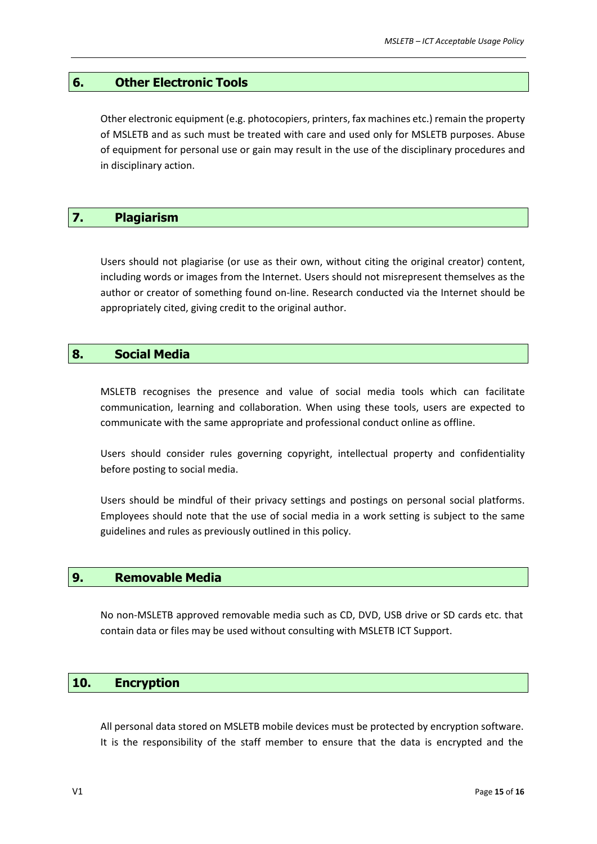#### <span id="page-14-0"></span>**6. Other Electronic Tools**

Other electronic equipment (e.g. photocopiers, printers, fax machines etc.) remain the property of MSLETB and as such must be treated with care and used only for MSLETB purposes. Abuse of equipment for personal use or gain may result in the use of the disciplinary procedures and in disciplinary action.

## <span id="page-14-1"></span>**7. Plagiarism**

Users should not plagiarise (or use as their own, without citing the original creator) content, including words or images from the Internet. Users should not misrepresent themselves as the author or creator of something found on-line. Research conducted via the Internet should be appropriately cited, giving credit to the original author.

#### <span id="page-14-2"></span>**8. Social Media**

MSLETB recognises the presence and value of social media tools which can facilitate communication, learning and collaboration. When using these tools, users are expected to communicate with the same appropriate and professional conduct online as offline.

Users should consider rules governing copyright, intellectual property and confidentiality before posting to social media.

Users should be mindful of their privacy settings and postings on personal social platforms. Employees should note that the use of social media in a work setting is subject to the same guidelines and rules as previously outlined in this policy.

#### <span id="page-14-3"></span>**9. Removable Media**

No non-MSLETB approved removable media such as CD, DVD, USB drive or SD cards etc. that contain data or files may be used without consulting with MSLETB ICT Support.

#### <span id="page-14-4"></span>**10. Encryption**

All personal data stored on MSLETB mobile devices must be protected by encryption software. It is the responsibility of the staff member to ensure that the data is encrypted and the